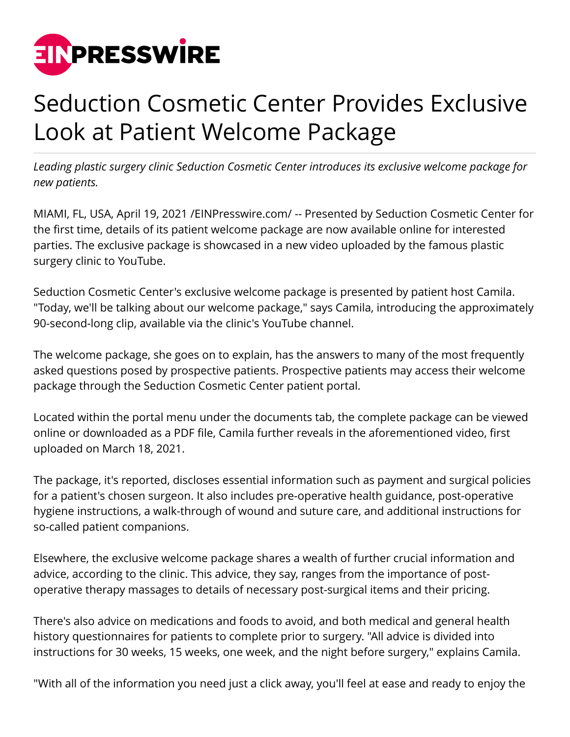

## Seduction Cosmetic Center Provides Exclusive Look at Patient Welcome Package

*Leading plastic surgery clinic Seduction Cosmetic Center introduces its exclusive welcome package for new patients.*

MIAMI, FL, USA, April 19, 2021 [/EINPresswire.com](http://www.einpresswire.com)/ -- Presented by Seduction Cosmetic Center for the first time, details of its patient welcome package are now available online for interested parties. The exclusive package is showcased in a new video uploaded by the famous plastic surgery clinic to YouTube.

Seduction Cosmetic Center's exclusive welcome package is presented by patient host Camila. "Today, we'll be talking about our welcome package," says Camila, introducing the approximately 90-second-long clip, available via the clinic's YouTube channel.

The welcome package, she goes on to explain, has the answers to many of the most frequently asked questions posed by prospective patients. Prospective patients may access their welcome package through the Seduction Cosmetic Center patient portal.

Located within the portal menu under the documents tab, the complete package can be viewed online or downloaded as a PDF file, Camila further reveals in the aforementioned video, first uploaded on March 18, 2021.

The package, it's reported, discloses essential information such as payment and surgical policies for a patient's chosen surgeon. It also includes pre-operative health guidance, post-operative hygiene instructions, a walk-through of wound and suture care, and additional instructions for so-called patient companions.

Elsewhere, the exclusive welcome package shares a wealth of further crucial information and advice, according to the clinic. This advice, they say, ranges from the importance of postoperative therapy massages to details of necessary post-surgical items and their pricing.

There's also advice on medications and foods to avoid, and both medical and general health history questionnaires for patients to complete prior to surgery. "All advice is divided into instructions for 30 weeks, 15 weeks, one week, and the night before surgery," explains Camila.

"With all of the information you need just a click away, you'll feel at ease and ready to enjoy the